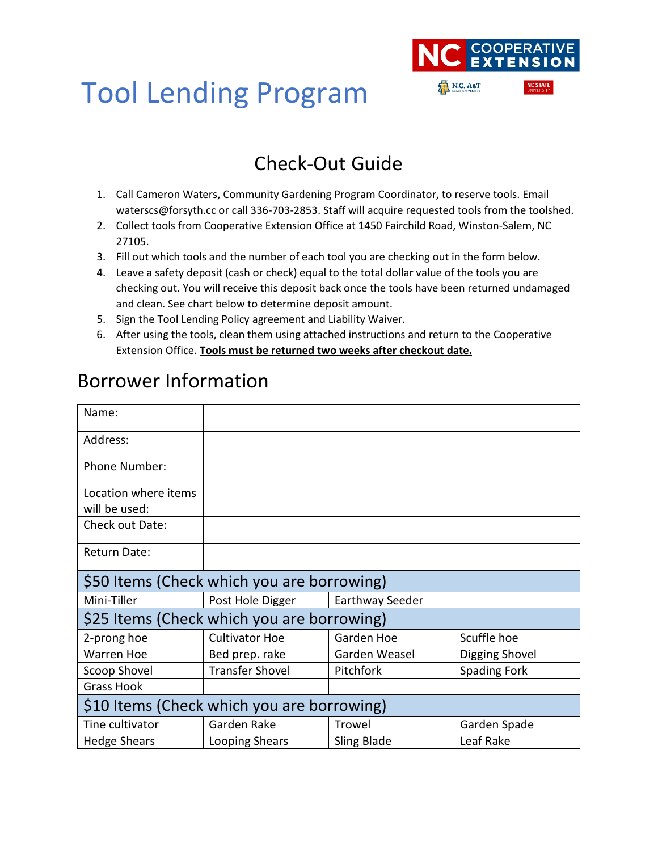

## Tool Lending Program

### Check-Out Guide

- 1. Call Cameron Waters, Community Gardening Program Coordinator, to reserve tools. Email waterscs@forsyth.cc or call 336-703-2853. Staff will acquire requested tools from the toolshed.
- 2. Collect tools from Cooperative Extension Office at 1450 Fairchild Road, Winston-Salem, NC 27105.
- 3. Fill out which tools and the number of each tool you are checking out in the form below.
- 4. Leave a safety deposit (cash or check) equal to the total dollar value of the tools you are checking out. You will receive this deposit back once the tools have been returned undamaged and clean. See chart below to determine deposit amount.
- 5. Sign the Tool Lending Policy agreement and Liability Waiver.
- 6. After using the tools, clean them using attached instructions and return to the Cooperative Extension Office. **Tools must be returned two weeks after checkout date.**

| Name:                                      |                        |                    |                     |
|--------------------------------------------|------------------------|--------------------|---------------------|
| Address:                                   |                        |                    |                     |
| <b>Phone Number:</b>                       |                        |                    |                     |
| Location where items                       |                        |                    |                     |
| will be used:                              |                        |                    |                     |
| Check out Date:                            |                        |                    |                     |
| Return Date:                               |                        |                    |                     |
| \$50 Items (Check which you are borrowing) |                        |                    |                     |
| Mini-Tiller                                | Post Hole Digger       | Earthway Seeder    |                     |
| \$25 Items (Check which you are borrowing) |                        |                    |                     |
| 2-prong hoe                                | <b>Cultivator Hoe</b>  | Garden Hoe         | Scuffle hoe         |
| <b>Warren Hoe</b>                          | Bed prep. rake         | Garden Weasel      | Digging Shovel      |
| Scoop Shovel                               | <b>Transfer Shovel</b> | Pitchfork          | <b>Spading Fork</b> |
| <b>Grass Hook</b>                          |                        |                    |                     |
| \$10 Items (Check which you are borrowing) |                        |                    |                     |
| Tine cultivator                            | Garden Rake            | Trowel             | Garden Spade        |
| <b>Hedge Shears</b>                        | Looping Shears         | <b>Sling Blade</b> | Leaf Rake           |

### Borrower Information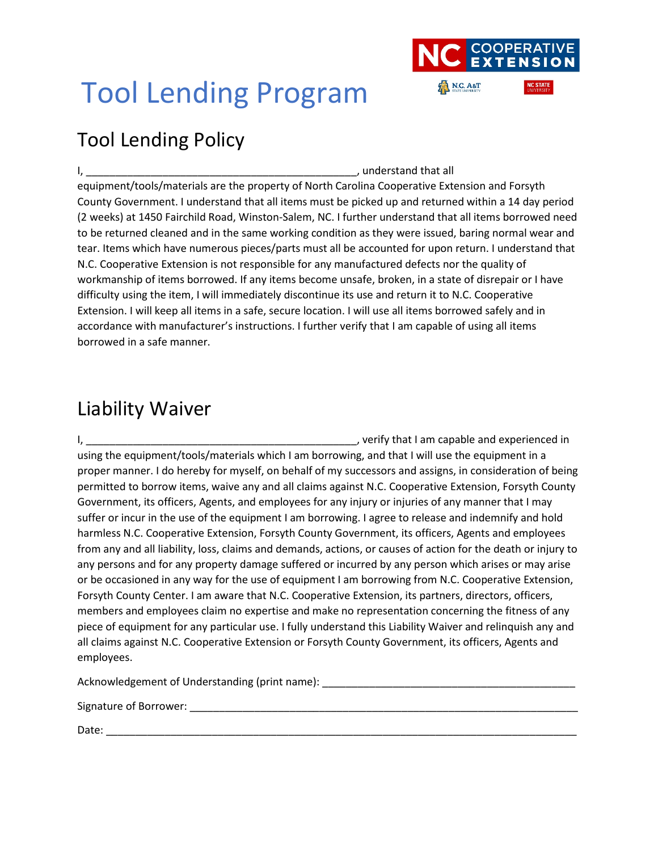

# Tool Lending Program

## Tool Lending Policy

I, \_\_\_\_\_\_\_\_\_\_\_\_\_\_\_\_\_\_\_\_\_\_\_\_\_\_\_\_\_\_\_\_\_\_\_\_\_\_\_\_\_\_\_\_\_\_, understand that all equipment/tools/materials are the property of North Carolina Cooperative Extension and Forsyth County Government. I understand that all items must be picked up and returned within a 14 day period (2 weeks) at 1450 Fairchild Road, Winston-Salem, NC. I further understand that all items borrowed need to be returned cleaned and in the same working condition as they were issued, baring normal wear and tear. Items which have numerous pieces/parts must all be accounted for upon return. I understand that N.C. Cooperative Extension is not responsible for any manufactured defects nor the quality of workmanship of items borrowed. If any items become unsafe, broken, in a state of disrepair or I have difficulty using the item, I will immediately discontinue its use and return it to N.C. Cooperative Extension. I will keep all items in a safe, secure location. I will use all items borrowed safely and in accordance with manufacturer's instructions. I further verify that I am capable of using all items borrowed in a safe manner.

### Liability Waiver

I, the contract of the contract of the contract of the capable and experienced in using the equipment/tools/materials which I am borrowing, and that I will use the equipment in a proper manner. I do hereby for myself, on behalf of my successors and assigns, in consideration of being permitted to borrow items, waive any and all claims against N.C. Cooperative Extension, Forsyth County Government, its officers, Agents, and employees for any injury or injuries of any manner that I may suffer or incur in the use of the equipment I am borrowing. I agree to release and indemnify and hold harmless N.C. Cooperative Extension, Forsyth County Government, its officers, Agents and employees from any and all liability, loss, claims and demands, actions, or causes of action for the death or injury to any persons and for any property damage suffered or incurred by any person which arises or may arise or be occasioned in any way for the use of equipment I am borrowing from N.C. Cooperative Extension, Forsyth County Center. I am aware that N.C. Cooperative Extension, its partners, directors, officers, members and employees claim no expertise and make no representation concerning the fitness of any piece of equipment for any particular use. I fully understand this Liability Waiver and relinquish any and all claims against N.C. Cooperative Extension or Forsyth County Government, its officers, Agents and employees.

Acknowledgement of Understanding (print name): \_\_\_\_\_\_\_\_\_\_\_\_\_\_\_\_\_\_\_\_\_\_\_\_\_\_\_\_\_\_\_\_\_

Signature of Borrower: \_\_\_\_\_\_\_\_\_\_\_\_\_\_\_\_\_\_\_\_\_\_\_\_\_\_\_\_\_\_\_\_\_\_\_\_\_\_\_\_\_\_\_\_\_\_\_\_\_\_\_\_\_\_\_\_\_\_\_\_\_\_\_\_\_\_

 $Date:$